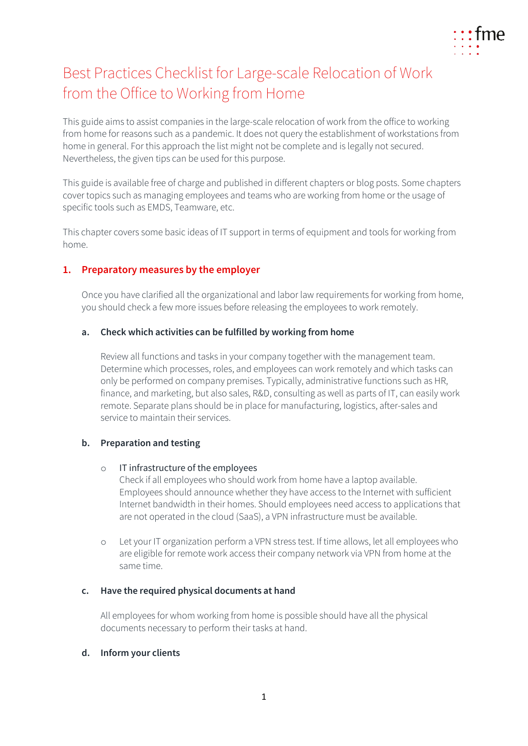

# Best Practices Checklist for Large-scale Relocation of Work from the Office to Working from Home

This guide aims to assist companies in the large-scale relocation of work from the office to working from home for reasons such as a pandemic. It does not query the establishment of workstations from home in general. For this approach the list might not be complete and is legally not secured. Nevertheless, the given tips can be used for this purpose.

This guide is available free of charge and published in different chapters or blog posts. Some chapters cover topics such as managing employees and teams who are working from home or the usage of specific tools such as EMDS, Teamware, etc.

This chapter covers some basic ideas of IT support in terms of equipment and tools for working from home.

# **1. Preparatory measures by the employer**

Once you have clarified all the organizational and labor law requirements for working from home, you should check a few more issues before releasing the employees to work remotely.

## **a. Check which activities can be fulfilled by working from home**

Review all functions and tasks in your company together with the management team. Determine which processes, roles, and employees can work remotely and which tasks can only be performed on company premises. Typically, administrative functions such as HR, finance, and marketing, but also sales, R&D, consulting as well as parts of IT, can easily work remote. Separate plans should be in place for manufacturing, logistics, after-sales and service to maintain their services.

# **b. Preparation and testing**

## o IT infrastructure of the employees

Check if all employees who should work from home have a laptop available. Employees should announce whether they have access to the Internet with sufficient Internet bandwidth in their homes. Should employees need access to applications that are not operated in the cloud (SaaS), a VPN infrastructure must be available.

o Let your IT organization perform a VPN stress test. If time allows, let all employees who are eligible for remote work access their company network via VPN from home at the same time.

# **c. Have the required physical documents at hand**

All employees for whom working from home is possible should have all the physical documents necessary to perform their tasks at hand.

## **d. Inform your clients**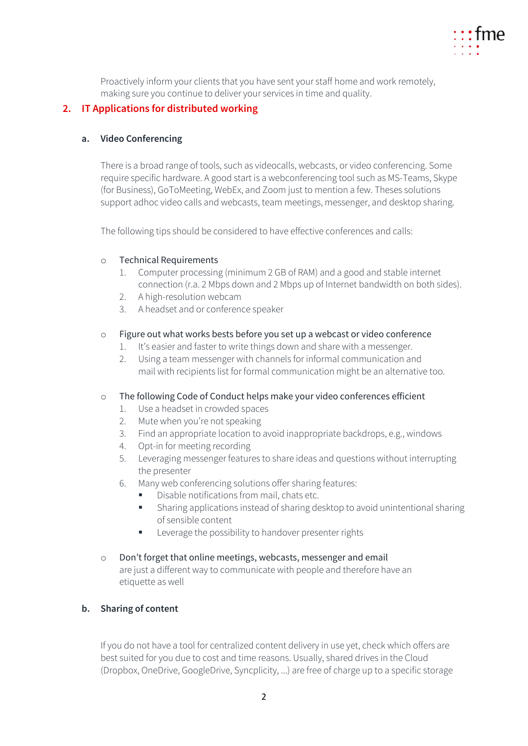

Proactively inform your clients that you have sent your staff home and work remotely, making sure you continue to deliver your services in time and quality.

## **2. IT Applications for distributed working**

## **a. Video Conferencing**

There is a broad range of tools, such as videocalls, webcasts, or video conferencing. Some require specific hardware. A good start is a webconferencing tool such as MS-Teams, Skype (for Business), GoToMeeting, WebEx, and Zoom just to mention a few. Theses solutions support adhoc video calls and webcasts, team meetings, messenger, and desktop sharing.

The following tips should be considered to have effective conferences and calls:

#### o Technical Requirements

- 1. Computer processing (minimum 2 GB of RAM) and a good and stable internet connection (r.a. 2 Mbps down and 2 Mbps up of Internet bandwidth on both sides).
- 2. A high-resolution webcam
- 3. A headset and or conference speaker

#### o Figure out what works bests before you set up a webcast or video conference

- 1. It's easier and faster to write things down and share with a messenger.
- 2. Using a team messenger with channels for informal communication and mail with recipients list for formal communication might be an alternative too.

## o The following Code of Conduct helps make your video conferences efficient

- 1. Use a headset in crowded spaces
- 2. Mute when you're not speaking
- 3. Find an appropriate location to avoid inappropriate backdrops, e.g., windows
- 4. Opt-in for meeting recording
- 5. Leveraging messenger features to share ideas and questions without interrupting the presenter
- 6. Many web conferencing solutions offer sharing features:
	- Disable notifications from mail, chats etc.
	- Sharing applications instead of sharing desktop to avoid unintentional sharing of sensible content
	- Leverage the possibility to handover presenter rights
- o Don't forget that online meetings, webcasts, messenger and email are just a different way to communicate with people and therefore have an etiquette as well

## **b. Sharing of content**

If you do not have a tool for centralized content delivery in use yet, check which offers are best suited for you due to cost and time reasons. Usually, shared drives in the Cloud (Dropbox, OneDrive, GoogleDrive, Syncplicity, ...) are free of charge up to a specific storage